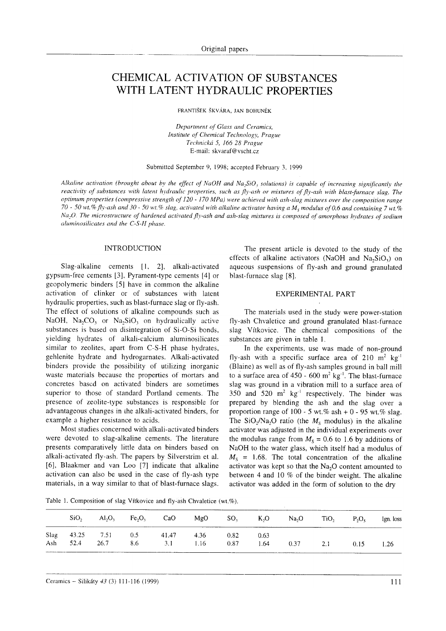# CHEMICAL ACTIVATION OF SUBSTANCES WITH LATENT HYDRAULIC PROPERTIES

FRANTIŠEK ŠKVÁRA, JAN BOHUNĚK

Department of Glass and Ceramics, Institute of Chemical Technology, Prague Technická 5, ló6 28 Prague E-mail: skvaraf@vscht.cz

Submittcd September 9, 1998; accepted February 3. 1999

Alkaline activation (brought about by the effect of NaOH and Na, SiO, solutions) is capable of increasing significantly the reactivity of substances with latent hydraulic properties, such as fly-ash or mixtures of fly-ash with blast-furnace slag. The optimum properties (compressive strength of 120 - 170 MPa) were achieved with ash-slag mixtures over the composition range 70 - 50 wt.% fly-ash and 30 - 50 wt.% slag, activated with alkaline activator having a  $M_s$  modulus of 0.6 and containing 7 wt.% Na<sub>2</sub>O. The microstructure of hardened activated fly-ash and ash-slag mixtures is composed of amorphous hydrates of sodium  $aluminosilicates$  and the  $C-S-H$  phase.

#### INTRODUCTION

Slag-alkaline cements [1, 2], alkali-activated gypsum-free cements [3], Pyrament-type cements [4] or geopolymeric binders [5] have in common the alkaline activation of clinker or of substances with latent hydraulic properties, such as blast-furnace slag or fly-ash. The effect of solutions of alkaline compounds such as NaOH,  $Na<sub>2</sub>CO<sub>3</sub>$  or Na<sub>2</sub>SiO<sub>3</sub> on hydraulically active substances is based on disintegration of Si-O-Si bonds, yielding hydrates of alkali-calcium aluminosilicates similar to zeolites, apart from C-S-H phase hydrates, gehlenite hydrate and hydrogarnates. Alkali-activated binders provide the possibility of utilizing inorganic waste materials because the properties of mortars and concretes bascd on activated binders are sometimes superior to those of standard Portland cements. The presence of zeolite-type substances is responsible for advantageous changes in the alkali-activated binders, for example a higher resistance to acids.

Most studies concerned with alkali-activated binders were devoted to slag-alkaline cements. The literature presents comparatively little data on binders based on alkali-activated fly-ash. The papers by Silverstrim et al. [6], Blaakmer and van Loo [7] indicate that alkaline activation can also be used in the case of fly-ash type materials, in a way similar to that of blast-furnace slags.

The present article is devoted to the study of the effects of alkaline activators (NaOH and  $Na<sub>2</sub>SiO<sub>3</sub>$ ) on aqueous suspensions of fly-ash and ground granulated blast-furnace slag [8].

## EXPERIMENTAL PART

The materials used in the study were power-station fly-ash Chvaletice and ground granulated blast-furnace slag Vítkovice. The chemical compositions of the substances are given in table 1.

In the experiments, use was made of non-ground fly-ash with a specific surface area of 210  $m^2$  kg<sup>-1</sup> (Blaine) as well as of fly-ash samples ground in ball mill to a surface area of  $450 - 600$  m<sup>2</sup> kg<sup>-1</sup>. The blast-furnace slag was ground in a vibration mill to a surface area of 350 and 520  $m^2$  kg<sup>-1</sup> respectively. The binder was prepared by blending the ash and the slag over <sup>a</sup> proportion range of 100 - 5 wt.% ash + 0 - 95 wt.% slag. The  $SiO_2/Na_2O$  ratio (the  $M_s$  modulus) in the alkaline activator was adjusted in the individual experiments over the modulus range from  $M_s = 0.6$  to 1.6 by additions of NaOH to the water glass, which itself had a modulus of  $M<sub>S</sub> = 1.68$ . The total concentration of the alkaline activator was kept so that the  $Na<sub>2</sub>O$  content amounted to between 4 and 10  $%$  of the binder weight. The alkaline activator was added in the form of solution to the drv

Table 1. Composition of slag Vítkovice and fly-ash Chvaletice (wt.%).

|      | SiO, | $AI_2O_3$  | Fe <sub>2</sub> O <sub>3</sub> | CaO   |      | $MgO$ $SO3$ | $K_2O$ | Na <sub>2</sub> O | TiO,            | $P_2O_5$ | Ign. loss |
|------|------|------------|--------------------------------|-------|------|-------------|--------|-------------------|-----------------|----------|-----------|
| Slag |      | 43.25 7.51 | 0.5                            | 41.47 | 4.36 | 0.82        | 0.63   |                   |                 |          |           |
| Ash  | 52.4 | -26.7      | 8.6                            | 3.1   | 1.16 | 0.87        | 1.64   | 0.37              | 2.1<br>________ | 0.15     | 1.26      |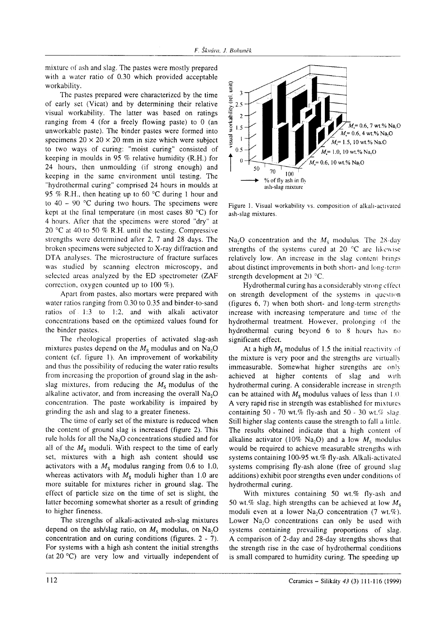mixture of ash and slag. The pastes were mostly prepared with a water ratio of 0.30 which provided acceptable workability.

Thc pastes prepared were characterized by the time of early set (Vicat) and by determining their relative visual workability. The latter was based on ratings ranging from 4 (for a freely flowing paste) to 0 (an unworkablc paste). The binder pastes were formed into specimens  $20 \times 20 \times 20$  mm in size which were subject to two ways of curing: "moist curing" consisted of keeping in moulds in 95  $%$  relative humidity (R.H.) for 24 hours, then unmoulding (if strong enough) and kecping in the same environment until testing. The "hydrothermal curing" comprised 24 hours in moulds at 95  $%$  R.H., then heating up to 60 °C during 1 hour and to  $40 - 90$  °C during two hours. The specimens were kept at the final temperature (in most cases  $80^{\circ}$ C) for 4 hours. After that the specimens were stored "dry" at 20  $\degree$ C at 40 to 50 % R.H. until the testing. Compressive strengths were determined after 2, 7 and 28 days. The brokcn specimcns were subjected to X-ray diffraction and DTA analyses. The microstructure of fracture surfaces was studied by scanning electron microscopy, and sclectcd arcas analyzed by the ED spectrometer (ZAF corrcction, oxygen counted up to 100 %).

Apart from pastes, also mortars were prepared with water ratios ranging from 0.30 to 0.35 and binder-to-sand ratios of l:3 to 1:2. and with alkali activator concentrations based on the optimized values found for the binder pastes.

The rheological properties of activated slag-ash mixtures pastes depend on the  $M_s$  modulus and on Na<sub>2</sub>O content (cf. figure 1). An improvement of workability and thus the possibility of reducing the water ratio results from increasing the proportion of ground slag in the ashslag mixtures, from reducing the  $M_s$  modulus of the alkaline activator, and from increasing the overall  $Na<sub>2</sub>O$ conccntration. The paste workability is impaired by grinding the ash and slag to a greater fineness.

The time of early set of the mixture is reduced when the content of ground slag is increased (figure 2). This rulc holds for all the Na,O concentrations studied and for all of the  $M_s$  moduli. With respect to the time of early sct, mixtures with a high ash content should use activators with a  $M_s$  modulus ranging from 0.6 to 1.0, whereas activators with  $M_s$  moduli higher than 1.0 are more suitable for mixtures richer in ground slag. The effect of particle size on the time of set is slight, the latter becoming somewhat shorter as a result of grinding to higher fineness.

The strengths of alkali-activated ash-slag mixtures depend on the ash/slag ratio, on  $M_s$  modulus, on Na<sub>2</sub>O concentration and on curing conditions (figures.  $2 - 7$ ). For systems with a high ash content the initial strengths (at 20  $^{\circ}$ C) are very low and virtually independent of



Figure l. Visual workability vs. composition of alkali-activatcd ash-slag mixtures.

Na<sub>2</sub>O concentration and the  $M_s$  modulus. The 28-day strengths of the systems cured at 20  $\mathrm{^{\circ}C}$  are likewise relatively low. An increase in the slag content brings about distinct improvements in both short- and long-term strength development at 20 °C.

Hydrothermal curing has a considerably strong effect. on strength development of the systems in question (figures  $6, 7$ ) when both short- and long-term strengths increase with increasing temperature and time of the hydrothermal treatment. However, prolonging of the hydrothermal curing beyond  $6$  to  $8$  hours has no significant effect.

At a high  $M_s$  modulus of 1.5 the initial reactivity of the mixture is very poor and the strengths are virtually immeasurable. Somewhat higher strengths are only achieved at higher contents of slag and with hydrothermal curing. A considerable increase in strcngth can be attained with  $M_s$  modulus values of less than 1.0. A very rapid rise in strength was established for mixturcs containing 50 - 70 wt.% fly-ash and 50 - 30 wt.% slag. Still higher slag contents cause the strength to fall a little. The results obtained indicate that a high content of alkaline activator (10% Na<sub>2</sub>O) and a low  $M_s$  modulus would be required to achieve measurable strengths with systems containing 100-95 wt.% fly-ash. Alkali-activated systems comprising fly-ash alone (free of ground slag additions) exhibit poor strengths even under conditions of hydrothermal curing.

With mixtures containing 50 wt.% fly-ash and 50 wt.% slag, high strengths can be achieved at low  $M_s$ moduli even at a lower Na<sub>2</sub>O concentration (7 wt.%). Lower  $Na<sub>2</sub>O$  concentrations can only be used with systems containing prevailing proportions of slag. A comparison of 2-day and 28-day strengths shows that the strength rise in the case of hydrothermal conditions is small compared to humidity curing. The speeding up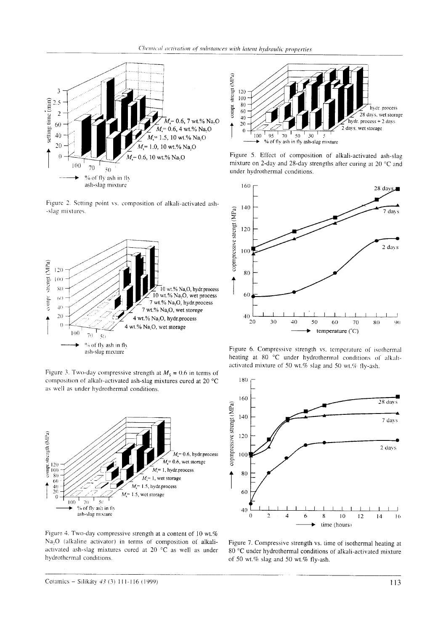

Figure 2. Setting point vs. composition of alkali-activated ash--slag mixtures.



Figure 3. Two-day compressive strength at  $M_s = 0.6$  in terms of composition of alkah-activated ash-slag mixtures cured at 20 °C as well as under hydrothermal conditions.



Figure 4. Two-day compressive strength at a content of 10 wt.% Na<sub>2</sub>O (alkaline activator) in terms of composition of alkaliactivated ash-slag mixtures cured at 20 °C as well as under hydrothermal conditions



Figure 5. Effect of composition of alkali-activated ash-slag mixture on 2-day and 28-day strengths after curing at 20 °C and under hydrothermal conditions.



Figure 6. Compressive strength vs. temperature of isothermal heating at 80 °C under hydrothermal conditions of alkaliactivated mixture of 50 wt.% slag and 50 wt.% fly-ash.



Figure 7. Compressive strength vs. time of isothermal heating at 80 °C under hydrothermal conditions of alkali-activated mixture of 50 wt.% slag and 50 wt.% fly-ash.

Ceramics - Silikáty 43 (3) 111-116 (1999)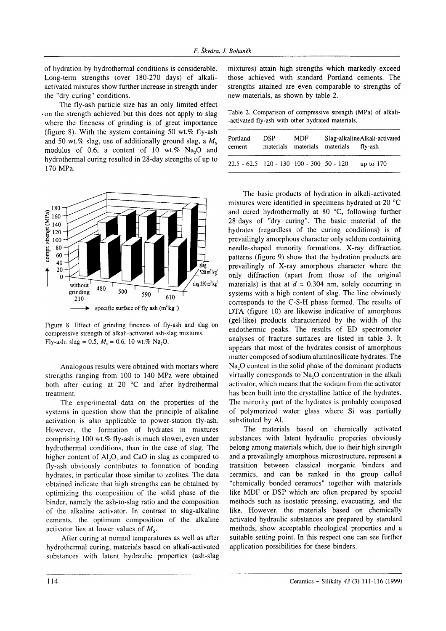of hydration by hydrothermal conditions is considerable. Long-term strengths (over 180-270 days) of alkaliactivated mixtures show further increase in strength under the "dry curing" conditions.

The fly-ash particle size has an only limited effect .on the strength achieved but this does not apply to slag where the fineness of grinding is of great importance (figure 8). With the system containing 50 wt.% fly-ash and 50 wt.% slag, use of additionally ground slag, a  $M_s$ modulus of 0.6, a content of 10 wt.%  $Na<sub>2</sub>O$  and hydrothermal curing resulted in 28-day strengths of up to 170 MPa.



-} Figure 8. Effect of grinding fineness of fly-ash and slag on compressive strength of alkali-activated ash-slag mixtures. Fly-ash: slag = 0.5,  $M_s = 0.6$ , 10 wt.% Na<sub>2</sub>O.

Analogous results were obtained with mortars where strengths ranging from 100 to 140 MPa were obtained both after curing at 20  $^{\circ}$ C and after hydrothermal treatment.

The experimental data on the properties of the systems in question show that the principle of alkaline activation is also applicable to power-station fly-ash. However, the formation of hydrates in mixtures comprising 100 wt.% fly-ash is much slower, even under hydrothermal conditions, than in the case of slag. The higher content of  $A<sub>1</sub>, O<sub>3</sub>$  and CaO in slag as compared to fly-ash obviously contributes to formation of bonding hydrates, in particular those similar to zeolites. The data obtained indicate that high strengths can be obtained by optimizing the composition of the solid phase of the binder, namely the ash-to-slag ratio and the composition of the alkaline activator. In contrast to slag-alkaline cements, the optimum composition of the alkaline activator lies at lower values of  $M_s$ .

After curing at normal temperatures as well as after hydrothermal curing, materials based on alkali-activated substances with latent hydraulic properties (ash-slag mixtures) attain high strengths which markedly exceed those achieved with standard Portland cements. The strengths attained are even comparable to strengths of new materials, as shown by table 2.

Table 2. Comparison of compressive strength (MPa) of alkali- -activated Íly.ash with other hydrated materials.

| Portland                                   | DSP       | MDF.      | Slag-alkalineAlkali-activated |             |  |  |  |
|--------------------------------------------|-----------|-----------|-------------------------------|-------------|--|--|--|
| cement                                     | materials | materials | materials                     | fly-ash     |  |  |  |
| $22.5 - 62.5$ 120 - 130 100 - 300 50 - 120 |           |           |                               | up to $170$ |  |  |  |

The basic products of hydration in alkali-activated mixtures were identified in specimens hydrated at  $20^{\circ}$ C and cured hydrothermally at 80 $\degree$ C, following further 28 days of "dry curing". The basic material of the hydrates (regardless of the curing conditions) is of prevailingly amorphous character only seldom containing needle-shaped minority formations. X-ray diffraction patterns (figure 9) show that the hydration products are prevailingly of X-ray amorphous character where the only diffraction (apart from those of the original materials) is that at  $d = 0.304$  nm, solely occurring in systems with a high content of slag. The line obviously coiresponds to the C-S-H phase formed. The results of DTA (figure 10) are likewise indicative of amorphous (gel-like) products characterized by the width of the endothermic peaks. The results of ED spectrometer analyses of fracture surfaces are listed in table 3. It appears that most of the hydrates consist of amorphous matter composed of sodium aluminosilicate hydrates. The Na<sub>2</sub>O content in the solid phase of the dominant products virtually corresponds to  $Na<sub>2</sub>O$  concentration in the alkali activator, which means that the sodiurn from the activator has been built into the crystalline lattice of the hydrates. The minority part of the hydrates is probably composed of polymerized water glass where Si was partially substituted by Al.

The materials based on chemically activated substances with latent hydraulic properies obviously belong among materials which, due to their high strength and a prevailingly amorphous microstructure, represent a transition between classical inorganic binders and ceramics, and can be ranked in the group called "chemically bonded ceramics" together with materials like MDF or DSP which are often prepared by special methods such as isostatic pressing, evacuating, and the like. However, the materials based on chemically activated hydraulic substances are prepared by standard methods, show acceptable rheological properties and a suitable setting point. In this respect one can see further application possibilities for these binders.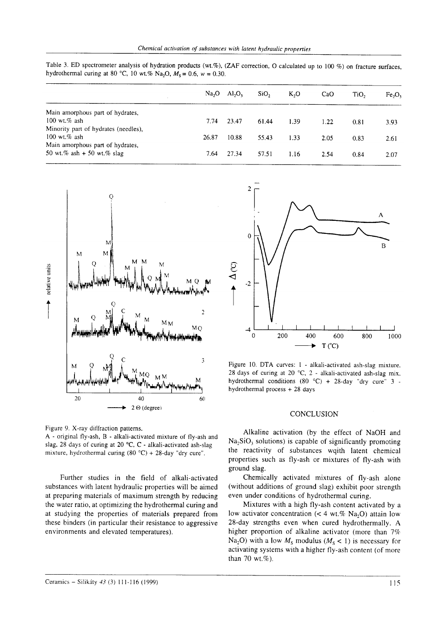Table 3. ED spectrometer analysis of hydration products (wt.%), (ZAF correction, O calculated up to 100 %) on fracture surfaces, hydrothermal curing at 80 °C, 10 wt.% Na<sub>2</sub>O,  $M_s = 0.6$ ,  $w = 0.30$ .

|                                      | Na <sub>2</sub> O | $AI_2O_3$ | SiO,  | K,O  | CaO  | TiO, | Fe, O, |
|--------------------------------------|-------------------|-----------|-------|------|------|------|--------|
| Main amorphous part of hydrates,     |                   |           |       |      |      |      |        |
| 100 wt.% ash                         | 7.74              | 23.47     | 61.44 | 1.39 | 1.22 | 0.81 | 3.93   |
| Minority part of hydrates (needles), |                   |           |       |      |      |      |        |
| 100 wt.% ash                         | 26.87             | 10.88     | 55.43 | 1.33 | 2.05 | 0.83 | 2.61   |
| Main amorphous part of hydrates,     |                   |           |       |      |      |      |        |
| 50 wt.% ash + 50 wt.% slag           | 7.64              | 27.34     | 57.51 | 1.16 | 2.54 | 0.84 | 2.07   |



 $\overline{\mathcal{L}}$ A  $\overline{0}$ B  $\Delta$ (°C)  $-2$ -4 200  $\mathbf 0$ 400 600 800 1000  $T(^{\circ}C)$ b

Figure 9. X-ray diffraction patterns.

A - original fly-ash, B - alkali-activated mixture of fly-ash and slag, 28 days of curing at 20 °C, C - alkali-activated ash-slag mixture, hydrothermal curing  $(80 °C) + 28$ -day "dry cure".

Further studies in the field of alkali-activated substances with latent hydraulic properties will be aimed at preparing materials of maximum strength by reducing the water ratio, at optimizing the hydrothermal curing and at studying the properties of materials prepared from these binders (in particular their resistance to aggressive environments and elevated temperatures).

Figure 10. DTA curves: 1 - alkali-activated ash-slag mixture, 28 days of curing at 20 °C, 2 - alkali-activated ash-slag mix, hydrothermal conditions  $(80 °C) + 28$ -day "dry cure" 3 hydrothermal process  $+28$  days

## CONCLUSION

Alkaline activation (by the effect of NaOH and  $Na<sub>2</sub>SiO<sub>3</sub>$  solutions) is capable of significantly promoting the reactivity of substances wqith latent chemical properties such as fly-ash or mixtures of fly-ash with ground slag.

Chemically activated mixtures of fly-ash alone (without additions of ground slag) exhibit poor strength even under conditions of hydrothermal curing.

Mixtures with a high fly-ash content activated by a low activator concentration (< 4 wt.% Na<sub>2</sub>O) attain low 28-day strengths even when cured hydrothermally. A higher proportion of alkaline activator (more than 7% Na<sub>2</sub>O) with a low  $M_s$  modulus ( $M_s$  < 1) is necessary for activating systems with a higher fly-ash content (of more than 70 wt.%).